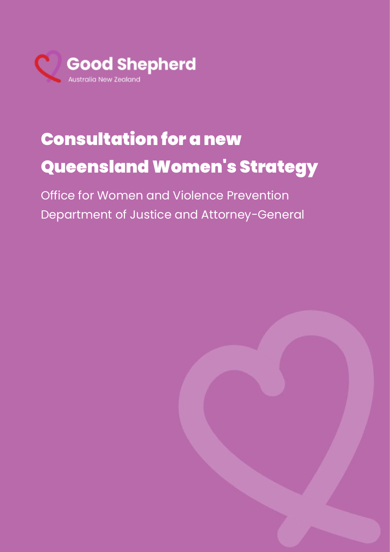

## Submission Name Submission Title Consultation for a new Queensland Women's Strategy

Office for Women and Violence Prevention Department of Justice and Attorney-General

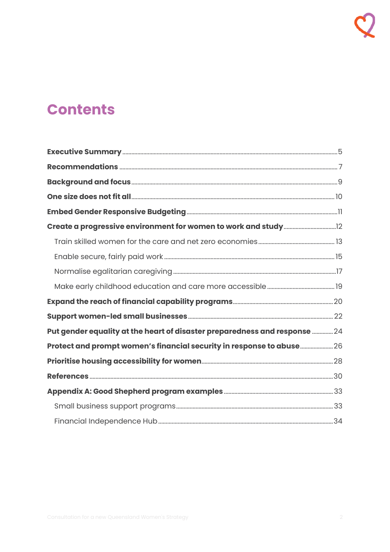# **Contents**

| Put gender equality at the heart of disaster preparedness and response  24 |  |
|----------------------------------------------------------------------------|--|
| Protect and prompt women's financial security in response to abuse 26      |  |
|                                                                            |  |
|                                                                            |  |
|                                                                            |  |
|                                                                            |  |
|                                                                            |  |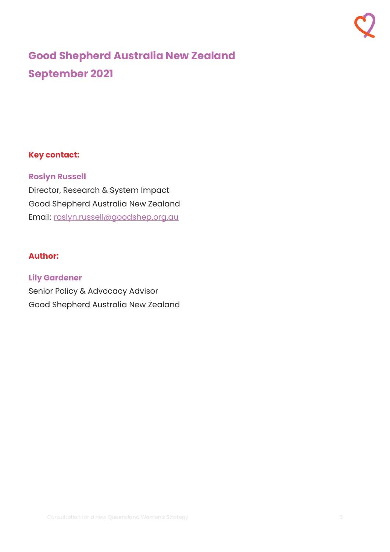## **Good Shepherd Australia New Zealand September 2021**

## **Key contact:**

## **Roslyn Russell**

Director, Research & System Impact Good Shepherd Australia New Zealand Email: [roslyn.russell@goodshep.org.au](mailto:roslyn.russell@goodshep.org.au)

## **Author:**

## **Lily Gardener**

Senior Policy & Advocacy Advisor Good Shepherd Australia New Zealand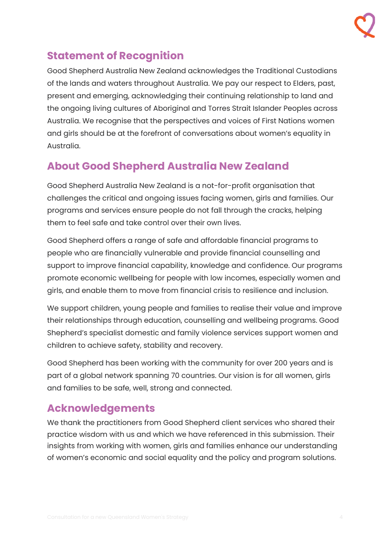## **Statement of Recognition**

Good Shepherd Australia New Zealand acknowledges the Traditional Custodians of the lands and waters throughout Australia. We pay our respect to Elders, past, present and emerging, acknowledging their continuing relationship to land and the ongoing living cultures of Aboriginal and Torres Strait Islander Peoples across Australia. We recognise that the perspectives and voices of First Nations women and girls should be at the forefront of conversations about women's equality in Australia.

## **About Good Shepherd Australia New Zealand**

Good Shepherd Australia New Zealand is a not-for-profit organisation that challenges the critical and ongoing issues facing women, girls and families. Our programs and services ensure people do not fall through the cracks, helping them to feel safe and take control over their own lives.

Good Shepherd offers a range of safe and affordable financial programs to people who are financially vulnerable and provide financial counselling and support to improve financial capability, knowledge and confidence. Our programs promote economic wellbeing for people with low incomes, especially women and girls, and enable them to move from financial crisis to resilience and inclusion.

We support children, young people and families to realise their value and improve their relationships through education, counselling and wellbeing programs. Good Shepherd's specialist domestic and family violence services support women and children to achieve safety, stability and recovery.

Good Shepherd has been working with the community for over 200 years and is part of a global network spanning 70 countries. Our vision is for all women, girls and families to be safe, well, strong and connected.

## **Acknowledgements**

We thank the practitioners from Good Shepherd client services who shared their practice wisdom with us and which we have referenced in this submission. Their insights from working with women, girls and families enhance our understanding of women's economic and social equality and the policy and program solutions.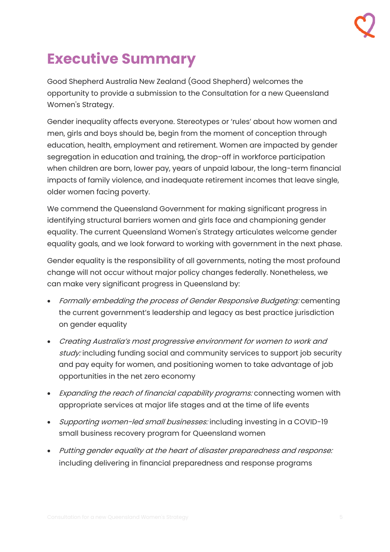# <span id="page-4-0"></span>**Executive Summary**

Good Shepherd Australia New Zealand (Good Shepherd) welcomes the opportunity to provide a submission to the Consultation for a new Queensland Women's Strategy.

Gender inequality affects everyone. Stereotypes or 'rules' about how women and men, girls and boys should be, begin from the moment of conception through education, health, employment and retirement. Women are impacted by gender segregation in education and training, the drop-off in workforce participation when children are born, lower pay, years of unpaid labour, the long-term financial impacts of family violence, and inadequate retirement incomes that leave single, older women facing poverty.

We commend the Queensland Government for making significant progress in identifying structural barriers women and girls face and championing gender equality. The current Queensland Women's Strategy articulates welcome gender equality goals, and we look forward to working with government in the next phase.

Gender equality is the responsibility of all governments, noting the most profound change will not occur without major policy changes federally. Nonetheless, we can make very significant progress in Queensland by:

- Formally embedding the process of Gender Responsive Budgeting: cementing the current government's leadership and legacy as best practice jurisdiction on gender equality
- Creating Australia's most progressive environment for women to work and study: including funding social and community services to support job security and pay equity for women, and positioning women to take advantage of job opportunities in the net zero economy
- Expanding the reach of financial capability programs: connecting women with appropriate services at major life stages and at the time of life events
- Supporting women-led small businesses: including investing in a COVID-19 small business recovery program for Queensland women
- Putting gender equality at the heart of disaster preparedness and response: including delivering in financial preparedness and response programs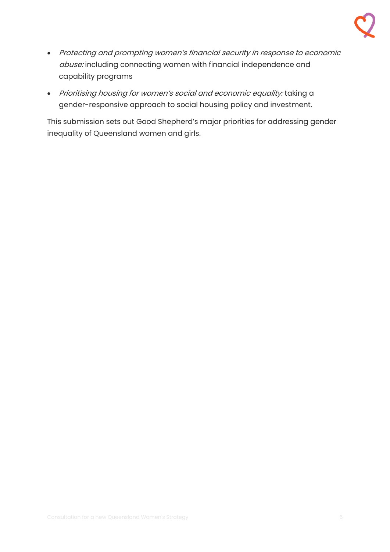

- Protecting and prompting women's financial security in response to economic abuse: including connecting women with financial independence and capability programs
- Prioritising housing for women's social and economic equality: taking a gender-responsive approach to social housing policy and investment.

This submission sets out Good Shepherd's major priorities for addressing gender inequality of Queensland women and girls.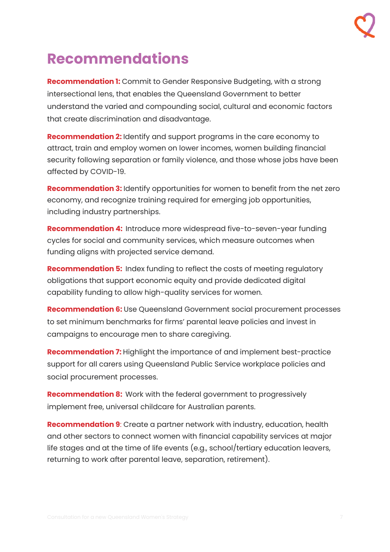

# <span id="page-6-0"></span>**Recommendations**

**Recommendation 1:** Commit to Gender Responsive Budgeting, with a strong intersectional lens, that enables the Queensland Government to better understand the varied and compounding social, cultural and economic factors that create discrimination and disadvantage.

**Recommendation 2:** Identify and support programs in the care economy to attract, train and employ women on lower incomes, women building financial security following separation or family violence, and those whose jobs have been affected by COVID-19.

**Recommendation 3:** Identify opportunities for women to benefit from the net zero economy, and recognize training required for emerging job opportunities, including industry partnerships.

**Recommendation 4:** Introduce more widespread five-to-seven-year funding cycles for social and community services, which measure outcomes when funding aligns with projected service demand.

**Recommendation 5:** Index funding to reflect the costs of meeting regulatory obligations that support economic equity and provide dedicated digital capability funding to allow high-quality services for women.

**Recommendation 6:** Use Queensland Government social procurement processes to set minimum benchmarks for firms' parental leave policies and invest in campaigns to encourage men to share caregiving.

**Recommendation 7:** Highlight the importance of and implement best-practice support for all carers using Queensland Public Service workplace policies and social procurement processes.

**Recommendation 8:** Work with the federal government to progressively implement free, universal childcare for Australian parents.

**Recommendation 9**: Create a partner network with industry, education, health and other sectors to connect women with financial capability services at major life stages and at the time of life events (e.g., school/tertiary education leavers, returning to work after parental leave, separation, retirement).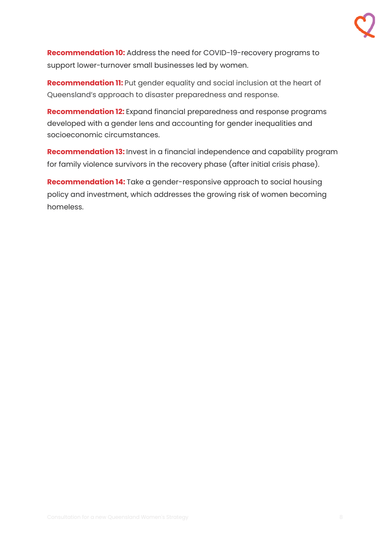**Recommendation 10:** Address the need for COVID-19-recovery programs to support lower-turnover small businesses led by women.

**Recommendation 11:** Put gender equality and social inclusion at the heart of Queensland's approach to disaster preparedness and response.

**Recommendation 12:** Expand financial preparedness and response programs developed with a gender lens and accounting for gender inequalities and socioeconomic circumstances.

**Recommendation 13:** Invest in a financial independence and capability program for family violence survivors in the recovery phase (after initial crisis phase).

**Recommendation 14:** Take a gender-responsive approach to social housing policy and investment, which addresses the growing risk of women becoming homeless.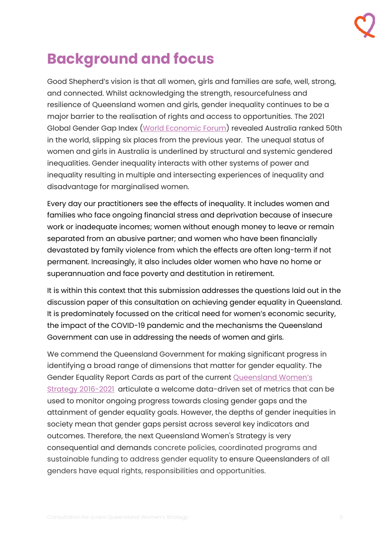# <span id="page-8-0"></span>**Background and focus**

Good Shepherd's vision is that all women, girls and families are safe, well, strong, and connected. Whilst acknowledging the strength, resourcefulness and resilience of Queensland women and girls, gender inequality continues to be a major barrier to the realisation of rights and access to opportunities. The 2021 Global Gender Gap Index (World [Economic Forum\)](https://www.weforum.org/reports/global-gender-gap-report-2021/) revealed Australia ranked 50th in the world, slipping six places from the previous year. The unequal status of women and girls in Australia is underlined by structural and systemic gendered inequalities. Gender inequality interacts with other systems of power and inequality resulting in multiple and intersecting experiences of inequality and disadvantage for marginalised women.

Every day our practitioners see the effects of inequality. It includes women and families who face ongoing financial stress and deprivation because of insecure work or inadequate incomes; women without enough money to leave or remain separated from an abusive partner; and women who have been financially devastated by family violence from which the effects are often long-term if not permanent. Increasingly, it also includes older women who have no home or superannuation and face poverty and destitution in retirement.

It is within this context that this submission addresses the questions laid out in the discussion paper of this consultation on achieving gender equality in Queensland. It is predominately focussed on the critical need for women's economic security, the impact of the COVID-19 pandemic and the mechanisms the Queensland Government can use in addressing the needs of women and girls.

We commend the Queensland Government for making significant progress in identifying a broad range of dimensions that matter for gender equality. The Gender Equality Report Cards as part of the current [Queensland Women's](https://www.justice.qld.gov.au/about-us/services/women-violence-prevention/women/queensland-womens-strategy)  [Strategy 2016-2021](https://www.justice.qld.gov.au/about-us/services/women-violence-prevention/women/queensland-womens-strategy) articulate a welcome data-driven set of metrics that can be used to monitor ongoing progress towards closing gender gaps and the attainment of gender equality goals. However, the depths of gender inequities in society mean that gender gaps persist across several key indicators and outcomes. Therefore, the next Queensland Women's Strategy is very consequential and demands concrete policies, coordinated programs and sustainable funding to address gender equality to ensure Queenslanders of all genders have equal rights, responsibilities and opportunities.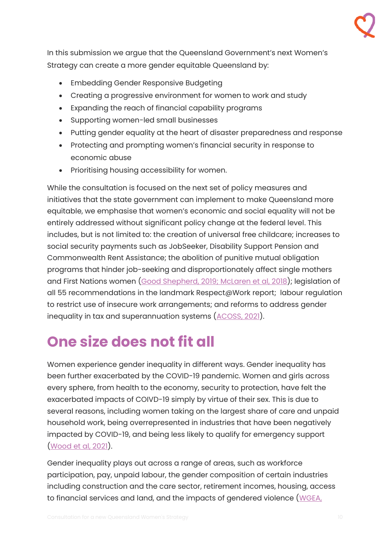In this submission we argue that the Queensland Government's next Women's Strategy can create a more gender equitable Queensland by:

- Embedding Gender Responsive Budgeting
- Creating a progressive environment for women to work and study
- Expanding the reach of financial capability programs
- Supporting women-led small businesses
- Putting gender equality at the heart of disaster preparedness and response
- Protecting and prompting women's financial security in response to economic abuse
- Prioritising housing accessibility for women.

While the consultation is focused on the next set of policy measures and initiatives that the state government can implement to make Queensland more equitable, we emphasise that women's economic and social equality will not be entirely addressed without significant policy change at the federal level. This includes, but is not limited to: the creation of universal free childcare; increases to social security payments such as JobSeeker, Disability Support Pension and Commonwealth Rent Assistance; the abolition of punitive mutual obligation programs that hinder job-seeking and disproportionately affect single mothers and First Nations women [\(Good Shepherd, 2019;](https://goodshep.org.au/wp-content/uploads/2020/12/disadvantaged-jobseekers-good-shepherd-submission-050819_final.pdf) McLaren [et al, 2018\)](https://apo.org.au/sites/default/files/resource-files/2018-10/apo-nid199506.pdf); legislation of all 55 recommendations in the landmark Respect@Work report; labour regulation to restrict use of insecure work arrangements; and reforms to address gender inequality in tax and superannuation systems [\(ACOSS, 2021\)](https://www.acoss.org.au/wp-content/uploads/2021/05/ACOSSBudgetAnalysis-Impact_on_women_on_low_incomes.pdf).

# <span id="page-9-0"></span>**One size does not fit all**

Women experience gender inequality in different ways. Gender inequality has been further exacerbated by the COVID-19 pandemic. Women and girls across every sphere, from health to the economy, security to protection, have felt the exacerbated impacts of COIVD-19 simply by virtue of their sex. This is due to several reasons, including women taking on the largest share of care and unpaid household work, being overrepresented in industries that have been negatively impacted by COVID-19, and being less likely to qualify for emergency support [\(Wood et al, 2021\)](https://grattan.edu.au/wp-content/uploads/2021/03/Womens-work-Grattan-Institute-report.pdf).

Gender inequality plays out across a range of areas, such as workforce participation, pay, unpaid labour, the gender composition of certain industries including construction and the care sector, retirement incomes, housing, access to financial services and land, and the impacts of gendered violence [\(WGEA,](https://www.wgea.gov.au/newsroom/gender-equality-in-australia-a-guide-to-gender-equality-in-2020)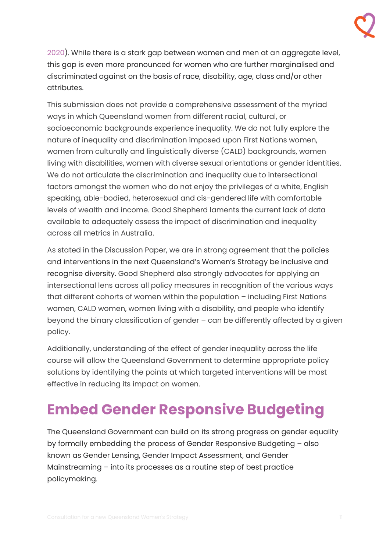[2020\)](https://www.wgea.gov.au/newsroom/gender-equality-in-australia-a-guide-to-gender-equality-in-2020). While there is a stark gap between women and men at an aggregate level, this gap is even more pronounced for women who are further marginalised and discriminated against on the basis of race, disability, age, class and/or other attributes.

This submission does not provide a comprehensive assessment of the myriad ways in which Queensland women from different racial, cultural, or socioeconomic backgrounds experience inequality. We do not fully explore the nature of inequality and discrimination imposed upon First Nations women, women from culturally and linguistically diverse (CALD) backgrounds, women living with disabilities, women with diverse sexual orientations or gender identities. We do not articulate the discrimination and inequality due to intersectional factors amongst the women who do not enjoy the privileges of a white, English speaking, able-bodied, heterosexual and cis-gendered life with comfortable levels of wealth and income. Good Shepherd laments the current lack of data available to adequately assess the impact of discrimination and inequality across all metrics in Australia.

As stated in the Discussion Paper, we are in strong agreement that the policies and interventions in the next Queensland's Women's Strategy be inclusive and recognise diversity. Good Shepherd also strongly advocates for applying an intersectional lens across all policy measures in recognition of the various ways that different cohorts of women within the population – including First Nations women, CALD women, women living with a disability, and people who identify beyond the binary classification of gender – can be differently affected by a given policy.

Additionally, understanding of the effect of gender inequality across the life course will allow the Queensland Government to determine appropriate policy solutions by identifying the points at which targeted interventions will be most effective in reducing its impact on women.

# <span id="page-10-0"></span>**Embed Gender Responsive Budgeting**

The Queensland Government can build on its strong progress on gender equality by formally embedding the process of Gender Responsive Budgeting – also known as Gender Lensing, Gender Impact Assessment, and Gender Mainstreaming – into its processes as a routine step of best practice policymaking.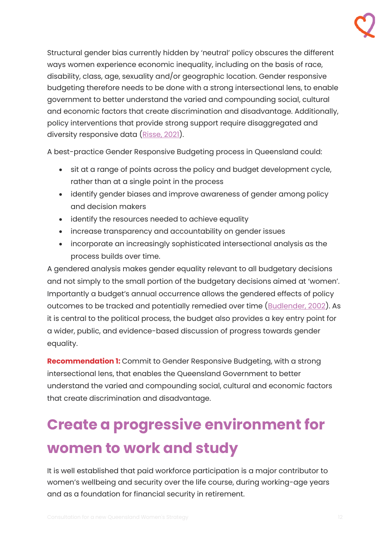Structural gender bias currently hidden by 'neutral' policy obscures the different ways women experience economic inequality, including on the basis of race, disability, class, age, sexuality and/or geographic location. Gender responsive budgeting therefore needs to be done with a strong intersectional lens, to enable government to better understand the varied and compounding social, cultural and economic factors that create discrimination and disadvantage. Additionally, policy interventions that provide strong support require disaggregated and diversity responsive data [\(Risse, 2021\)](https://www.qcoss.org.au/publication/report-gender-impact-analysis-of-the-qld-budget-2021-2022/).

A best-practice Gender Responsive Budgeting process in Queensland could:

- sit at a range of points across the policy and budget development cycle, rather than at a single point in the process
- identify gender biases and improve awareness of gender among policy and decision makers
- identify the resources needed to achieve equality
- increase transparency and accountability on gender issues
- incorporate an increasingly sophisticated intersectional analysis as the process builds over time.

A gendered analysis makes gender equality relevant to all budgetary decisions and not simply to the small portion of the budgetary decisions aimed at 'women'. Importantly a budget's annual occurrence allows the gendered effects of policy outcomes to be tracked and potentially remedied over time [\(Budlender, 2002\)](https://doi.org/10.1080/13552070215912). As it is central to the political process, the budget also provides a key entry point for a wider, public, and evidence-based discussion of progress towards gender equality.

**Recommendation 1:** Commit to Gender Responsive Budgeting, with a strong intersectional lens, that enables the Queensland Government to better understand the varied and compounding social, cultural and economic factors that create discrimination and disadvantage.

# <span id="page-11-0"></span>**Create a progressive environment for women to work and study**

It is well established that paid workforce participation is a major contributor to women's wellbeing and security over the life course, during working-age years and as a foundation for financial security in retirement.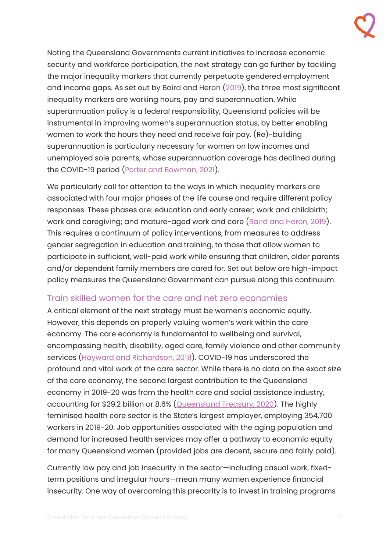Noting the Queensland Governments current initiatives to increase economic security and workforce participation, the next strategy can go further by tackling the major inequality markers that currently perpetuate gendered employment and income gaps. As set out by Baird and Heron [\(2019\)](http://dx.doi.org/10.4324/9780429439919-5), the three most significant inequality markers are working hours, pay and superannuation. While superannuation policy is a federal responsibility, Queensland policies will be instrumental in improving women's superannuation status, by better enabling women to work the hours they need and receive fair pay. (Re)-building superannuation is particularly necessary for women on low incomes and unemployed sole parents, whose superannuation coverage has declined during the COVID-19 period [\(Porter and Bowman, 2021\)](https://library.bsl.org.au/jspui/bitstream/1/12554/1/PorterBowman_Shocks_and_safety_nets_financial_wellbeing_2021.pdf).

We particularly call for attention to the ways in which inequality markers are associated with four major phases of the life course and require different policy responses. These phases are: education and early career; work and childbirth; work and caregiving; and mature-aged work and care [\(Baird and Heron, 2019\)](http://dx.doi.org/10.4324/9780429439919-5). This requires a continuum of policy interventions, from measures to address gender segregation in education and training, to those that allow women to participate in sufficient, well-paid work while ensuring that children, older parents and/or dependent family members are cared for. Set out below are high-impact policy measures the Queensland Government can pursue along this continuum.

## <span id="page-12-0"></span>Train skilled women for the care and net zero economies

A critical element of the next strategy must be women's economic equity. However, this depends on properly valuing women's work within the care economy. The care economy is fundamental to wellbeing and survival, encompassing health, disability, aged care, family violence and other community services [\(Hayward and Richardson, 2018\)](https://vcoss.org.au/policylibrary/2018/09/victorias-social-economy/). COVID-19 has underscored the profound and vital work of the care sector. While there is no data on the exact size of the care economy, the second largest contribution to the Queensland economy in 2019-20 was from the health care and social assistance industry, accounting for \$29.2 billion or 8.6% [\(Queensland Treasury, 2020\)](https://www.treasury.qld.gov.au/queenslands-economy/about-the-queensland-economy/). The highly feminised health care sector is the State's largest employer, employing 354,700 workers in 2019-20. Job opportunities associated with the aging population and demand for increased health services may offer a pathway to economic equity for many Queensland women (provided jobs are decent, secure and fairly paid).

Currently low pay and job insecurity in the sector—including casual work, fixedterm positions and irregular hours—mean many women experience financial insecurity. One way of overcoming this precarity is to invest in training programs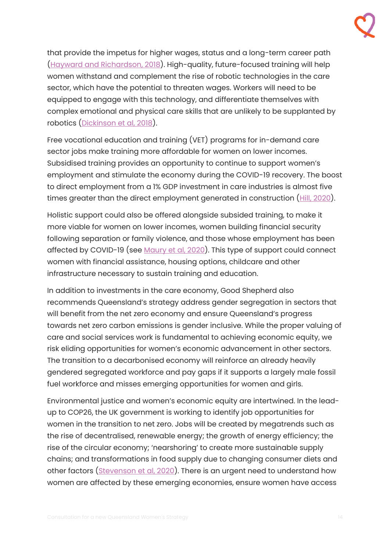that provide the impetus for higher wages, status and a long-term career path [\(Hayward and Richardson, 2018\)](https://vcoss.org.au/policylibrary/2018/09/victorias-social-economy/). High-quality, future-focused training will help women withstand and complement the rise of robotic technologies in the care sector, which have the potential to threaten wages. Workers will need to be equipped to engage with this technology, and differentiate themselves with complex emotional and physical care skills that are unlikely to be supplanted by robotics [\(Dickinson et al, 2018\)](https://www.anzsog.edu.au/resource-library/research/robots-and-the-delivery-of-care-services).

Free vocational education and training (VET) programs for in-demand care sector jobs make training more affordable for women on lower incomes. Subsidised training provides an opportunity to continue to support women's employment and stimulate the economy during the COVID-19 recovery. The boost to direct employment from a 1% GDP investment in care industries is almost five times greater than the direct employment generated in construction [\(Hill, 2020\)](http://www.powertopersuade.org.au/blog/reducing-gender-inequality-and-boosting-the-economy-fiscal-policy-after-covid-19/15/9/2020).

Holistic support could also be offered alongside subsided training, to make it more viable for women on lower incomes, women building financial security following separation or family violence, and those whose employment has been affected by COVID-19 (see [Maury et al, 2020\)](https://goodshep.org.au/wp-content/uploads/2020/12/GSH031-COVID-19-Report-DP5.pdf). This type of support could connect women with financial assistance, housing options, childcare and other infrastructure necessary to sustain training and education.

In addition to investments in the care economy, Good Shepherd also recommends Queensland's strategy address gender segregation in sectors that will benefit from the net zero economy and ensure Queensland's progress towards net zero carbon emissions is gender inclusive. While the proper valuing of care and social services work is fundamental to achieving economic equity, we risk eliding opportunities for women's economic advancement in other sectors. The transition to a decarbonised economy will reinforce an already heavily gendered segregated workforce and pay gaps if it supports a largely male fossil fuel workforce and misses emerging opportunities for women and girls.

Environmental justice and women's economic equity are intertwined. In the leadup to COP26, the UK government is working to identify job opportunities for women in the transition to net zero. Jobs will be created by megatrends such as the rise of decentralised, renewable energy; the growth of energy efficiency; the rise of the circular economy; 'nearshoring' to create more sustainable supply chains; and transformations in food supply due to changing consumer diets and other factors [\(Stevenson et al, 2020\)](https://assets.publishing.service.gov.uk/government/uploads/system/uploads/attachment_data/file/980198/Guidance3-Women--Net-Zero-Economy-Briefing1.pdf). There is an urgent need to understand how women are affected by these emerging economies, ensure women have access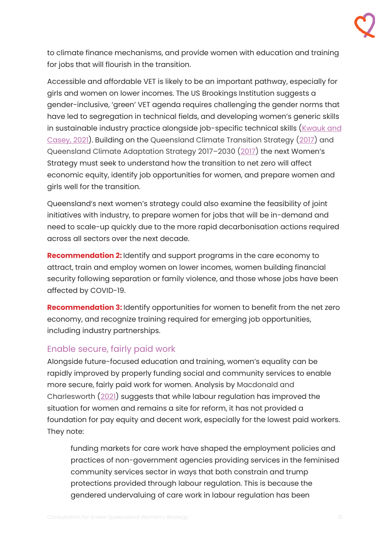to climate finance mechanisms, and provide women with education and training for jobs that will flourish in the transition.

Accessible and affordable VET is likely to be an important pathway, especially for girls and women on lower incomes. The US Brookings Institution suggests a gender-inclusive, 'green' VET agenda requires challenging the gender norms that have led to segregation in technical fields, and developing women's generic skills in sustainable industry practice alongside job-specific technical skills (Kwauk and [Casey, 2021\)](https://www.brookings.edu/research/a-new-green-learning-agenda-approaches-to-quality-education-for-climate-action/). Building on the Queensland Climate Transition Strategy [\(2017\)](https://www.qld.gov.au/__data/assets/pdf_file/0026/67283/qld-climate-transition-strategy.pdf) and Queensland Climate Adaptation Strategy 2017-2030 [\(2017\)](https://www.qld.gov.au/__data/assets/pdf_file/0017/67301/qld-climate-adaptation-strategy.pdf) the next Women's Strategy must seek to understand how the transition to net zero will affect economic equity, identify job opportunities for women, and prepare women and girls well for the transition.

Queensland's next women's strategy could also examine the feasibility of joint initiatives with industry, to prepare women for jobs that will be in-demand and need to scale-up quickly due to the more rapid decarbonisation actions required across all sectors over the next decade.

**Recommendation 2:** Identify and support programs in the care economy to attract, train and employ women on lower incomes, women building financial security following separation or family violence, and those whose jobs have been affected by COVID-19.

**Recommendation 3:** Identify opportunities for women to benefit from the net zero economy, and recognize training required for emerging job opportunities, including industry partnerships.

## <span id="page-14-0"></span>Enable secure, fairly paid work

Alongside future-focused education and training, women's equality can be rapidly improved by properly funding social and community services to enable more secure, fairly paid work for women. Analysis by Macdonald and Charlesworth [\(2021\)](https://doi.org/10.1177%2F0022185621996782) suggests that while labour regulation has improved the situation for women and remains a site for reform, it has not provided a foundation for pay equity and decent work, especially for the lowest paid workers. They note:

funding markets for care work have shaped the employment policies and practices of non-government agencies providing services in the feminised community services sector in ways that both constrain and trump protections provided through labour regulation. This is because the gendered undervaluing of care work in labour regulation has been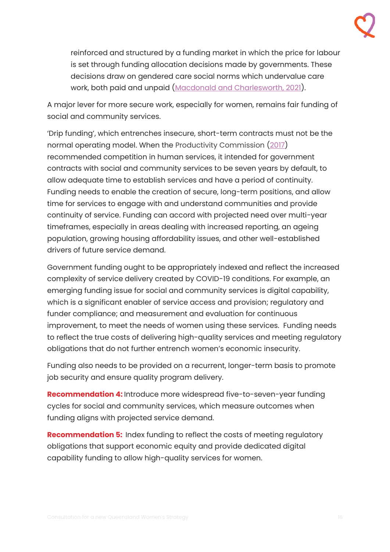reinforced and structured by a funding market in which the price for labour is set through funding allocation decisions made by governments. These decisions draw on gendered care social norms which undervalue care work, both paid and unpaid [\(Macdonald and Charlesworth, 2021\)](https://doi.org/10.1177%2F0022185621996782).

A major lever for more secure work, especially for women, remains fair funding of social and community services.

'Drip funding', which entrenches insecure, short-term contracts must not be the normal operating model. When the Productivity Commission [\(2017\)](https://www.pc.gov.au/inquiries/completed/human-services/reforms/report/human-services-reforms.pdf) recommended competition in human services, it intended for government contracts with social and community services to be seven years by default, to allow adequate time to establish services and have a period of continuity. Funding needs to enable the creation of secure, long-term positions, and allow time for services to engage with and understand communities and provide continuity of service. Funding can accord with projected need over multi-year timeframes, especially in areas dealing with increased reporting, an ageing population, growing housing affordability issues, and other well-established drivers of future service demand.

Government funding ought to be appropriately indexed and reflect the increased complexity of service delivery created by COVID-19 conditions. For example, an emerging funding issue for social and community services is digital capability, which is a significant enabler of service access and provision; regulatory and funder compliance; and measurement and evaluation for continuous improvement, to meet the needs of women using these services. Funding needs to reflect the true costs of delivering high-quality services and meeting regulatory obligations that do not further entrench women's economic insecurity.

Funding also needs to be provided on a recurrent, longer-term basis to promote job security and ensure quality program delivery.

**Recommendation 4:** Introduce more widespread five-to-seven-year funding cycles for social and community services, which measure outcomes when funding aligns with projected service demand.

**Recommendation 5:** Index funding to reflect the costs of meeting regulatory obligations that support economic equity and provide dedicated digital capability funding to allow high-quality services for women.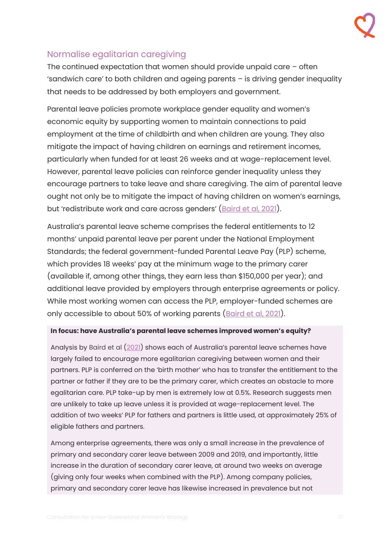## <span id="page-16-0"></span>Normalise egalitarian caregiving

The continued expectation that women should provide unpaid care – often 'sandwich care' to both children and ageing parents – is driving gender inequality that needs to be addressed by both employers and government.

Parental leave policies promote workplace gender equality and women's economic equity by supporting women to maintain connections to paid employment at the time of childbirth and when children are young. They also mitigate the impact of having children on earnings and retirement incomes, particularly when funded for at least 26 weeks and at wage-replacement level. However, parental leave policies can reinforce gender inequality unless they encourage partners to take leave and share caregiving. The aim of parental leave ought not only be to mitigate the impact of having children on women's earnings, but 'redistribute work and care across genders' ([Baird et al, 2021\)](https://doi.org/10.1177%2F00221856211008219).

Australia's parental leave scheme comprises the federal entitlements to 12 months' unpaid parental leave per parent under the National Employment Standards; the federal government-funded Parental Leave Pay (PLP) scheme, which provides 18 weeks' pay at the minimum wage to the primary carer (available if, among other things, they earn less than \$150,000 per year); and additional leave provided by employers through enterprise agreements or policy. While most working women can access the PLP, employer-funded schemes are only accessible to about 50% of working parents [\(Baird et al, 2021\)](https://doi.org/10.1177%2F00221856211008219).

### **In focus: have Australia's parental leave schemes improved women's equity?**

Analysis by Baird et al [\(2021](https://doi.org/10.1177%2F00221856211008219)) shows each of Australia's parental leave schemes have largely failed to encourage more egalitarian caregiving between women and their partners. PLP is conferred on the 'birth mother' who has to transfer the entitlement to the partner or father if they are to be the primary carer, which creates an obstacle to more egalitarian care. PLP take-up by men is extremely low at 0.5%. Research suggests men are unlikely to take up leave unless it is provided at wage-replacement level. The addition of two weeks' PLP for fathers and partners is little used, at approximately 25% of eligible fathers and partners.

Among enterprise agreements, there was only a small increase in the prevalence of primary and secondary carer leave between 2009 and 2019, and importantly, little increase in the duration of secondary carer leave, at around two weeks on average (giving only four weeks when combined with the PLP). Among company policies, primary and secondary carer leave has likewise increased in prevalence but not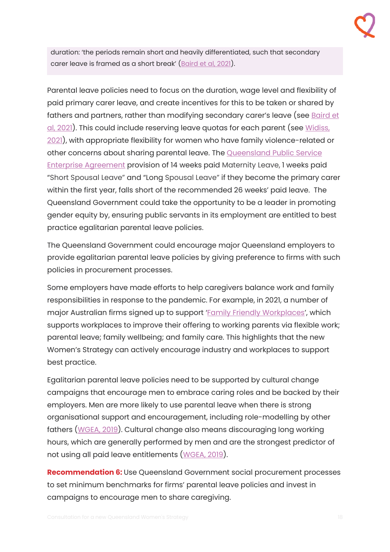duration: 'the periods remain short and heavily differentiated, such that secondary carer leave is framed as a short break' ([Baird et al, 2021\)](https://doi.org/10.1177%2F00221856211008219).

Parental leave policies need to focus on the duration, wage level and flexibility of paid primary carer leave, and create incentives for this to be taken or shared by fathers and partners, rather than modifying secondary carer's leave (see Baird et [al, 2021\)](https://doi.org/10.1177%2F00221856211008219). This could include reserving leave quotas for each parent (see [Widiss,](http://www.powertopersuade.org.au/blog/how-neutral-are-gender-neutral-parental-leave-policies/20/7/2021)  [2021\)](http://www.powertopersuade.org.au/blog/how-neutral-are-gender-neutral-parental-leave-policies/20/7/2021), with appropriate flexibility for women who have family violence-related or other concerns about sharing parental leave. The [Queensland Public Service](https://www.forgov.qld.gov.au/__data/assets/pdf_file/0038/186986/directive-0520-paid-parental-leave.pdf)  [Enterprise Agreement](https://www.forgov.qld.gov.au/__data/assets/pdf_file/0038/186986/directive-0520-paid-parental-leave.pdf) provision of 14 weeks paid Maternity Leave, 1 weeks paid "Short Spousal Leave" and "Long Spousal Leave" if they become the primary carer within the first year, falls short of the recommended 26 weeks' paid leave. The Queensland Government could take the opportunity to be a leader in promoting gender equity by, ensuring public servants in its employment are entitled to best practice egalitarian parental leave policies.

The Queensland Government could encourage major Queensland employers to provide egalitarian parental leave policies by giving preference to firms with such policies in procurement processes.

Some employers have made efforts to help caregivers balance work and family responsibilities in response to the pandemic. For example, in 2021, a number of major Australian firms signed up to support '[Family Friendly Workplaces](https://familyfriendlyworkplaces.com/)', which supports workplaces to improve their offering to working parents via flexible work; parental leave; family wellbeing; and family care. This highlights that the new Women's Strategy can actively encourage industry and workplaces to support best practice.

Egalitarian parental leave policies need to be supported by cultural change campaigns that encourage men to embrace caring roles and be backed by their employers. Men are more likely to use parental leave when there is strong organisational support and encouragement, including role-modelling by other fathers [\(WGEA, 2019\)](https://www.wgea.gov.au/publications/gender-equitable-parental-leave). Cultural change also means discouraging long working hours, which are generally performed by men and are the strongest predictor of not using all paid leave entitlements [\(WGEA, 2019\)](https://www.wgea.gov.au/publications/gender-equitable-parental-leave).

**Recommendation 6:** Use Queensland Government social procurement processes to set minimum benchmarks for firms' parental leave policies and invest in campaigns to encourage men to share caregiving.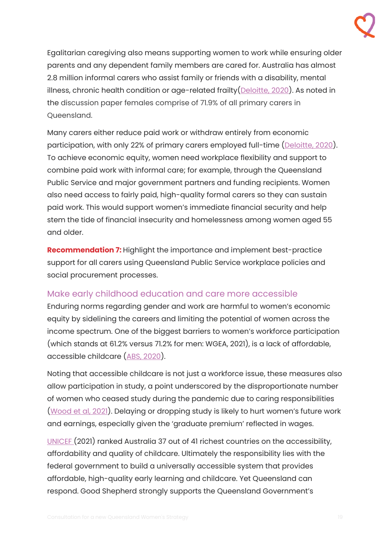

Egalitarian caregiving also means supporting women to work while ensuring older parents and any dependent family members are cared for. Australia has almost 2.8 million informal carers who assist family or friends with a disability, mental illness, chronic health condition or age-related frailty[\(Deloitte, 2020\)](https://www2.deloitte.com/au/en/pages/economics/articles/value-of-informal-care-2020.html). As noted in the discussion paper females comprise of 71.9% of all primary carers in Queensland.

Many carers either reduce paid work or withdraw entirely from economic participation, with only 22% of primary carers employed full-time [\(Deloitte, 2020\)](https://www2.deloitte.com/au/en/pages/economics/articles/value-of-informal-care-2020.html). To achieve economic equity, women need workplace flexibility and support to combine paid work with informal care; for example, through the Queensland Public Service and major government partners and funding recipients. Women also need access to fairly paid, high-quality formal carers so they can sustain paid work. This would support women's immediate financial security and help stem the tide of financial insecurity and homelessness among women aged 55 and older.

**Recommendation 7:** Highlight the importance and implement best-practice support for all carers using Queensland Public Service workplace policies and social procurement processes.

## <span id="page-18-0"></span>Make early childhood education and care more accessible

Enduring norms regarding gender and work are harmful to women's economic equity by sidelining the careers and limiting the potential of women across the income spectrum. One of the biggest barriers to women's workforce participation (which stands at 61.2% versus 71.2% for men: [WGEA,](https://www.wgea/) 2021), is a lack of affordable, accessible childcare [\(ABS, 2020\)](https://www.abs.gov.au/statistics/labour/employment-and-unemployment/barriers-and-incentives-labour-force-participation-australia/latest-release).

Noting that accessible childcare is not just a workforce issue, these measures also allow participation in study, a point underscored by the disproportionate number of women who ceased study during the pandemic due to caring responsibilities [\(Wood et al, 2021](https://grattan.edu.au/wp-content/uploads/2021/03/Womens-work-Grattan-Institute-report.pdf)). Delaying or dropping study is likely to hurt women's future work and earnings, especially given the 'graduate premium' reflected in wages.

[UNICEF](https://www.unicef-irc.org/publications/pdf/where-do-rich-countries-stand-on-childcare.pdf) (2021) ranked Australia 37 out of 41 richest countries on the accessibility, affordability and quality of childcare. Ultimately the responsibility lies with the federal government to build a universally accessible system that provides affordable, high-quality early learning and childcare. Yet Queensland can respond. Good Shepherd strongly supports the Queensland Government's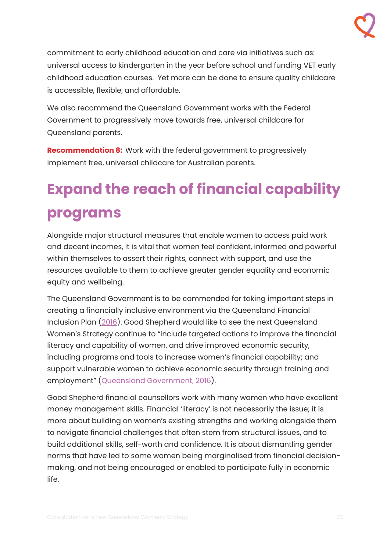

commitment to early childhood education and care via initiatives such as: universal access to kindergarten in the year before school and funding VET early childhood education courses. Yet more can be done to ensure quality childcare is accessible, flexible, and affordable.

We also recommend the Queensland Government works with the Federal Government to progressively move towards free, universal childcare for Queensland parents.

**Recommendation 8:** Work with the federal government to progressively implement free, universal childcare for Australian parents.

# <span id="page-19-0"></span>**Expand the reach of financial capability programs**

Alongside major structural measures that enable women to access paid work and decent incomes, it is vital that women feel confident, informed and powerful within themselves to assert their rights, connect with support, and use the resources available to them to achieve greater gender equality and economic equity and wellbeing.

The Queensland Government is to be commended for taking important steps in creating a financially inclusive environment via the Queensland Financial Inclusion Plan [\(2016\)](http://ican.org.au/wp-content/uploads/2013/09/queensland-financial-inclusion-plan.pdf). Good Shepherd would like to see the next Queensland Women's Strategy continue to "include targeted actions to improve the financial literacy and capability of women, and drive improved economic security, including programs and tools to increase women's financial capability; and support vulnerable women to achieve economic security through training and employment" [\(Queensland Government, 2016\)](http://ican.org.au/wp-content/uploads/2013/09/queensland-financial-inclusion-plan.pdf).

Good Shepherd financial counsellors work with many women who have excellent money management skills. Financial 'literacy' is not necessarily the issue; it is more about building on women's existing strengths and working alongside them to navigate financial challenges that often stem from structural issues, and to build additional skills, self-worth and confidence. It is about dismantling gender norms that have led to some women being marginalised from financial decisionmaking, and not being encouraged or enabled to participate fully in economic life.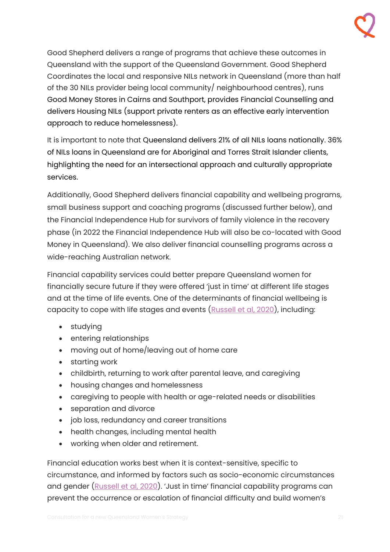Good Shepherd delivers a range of programs that achieve these outcomes in Queensland with the support of the Queensland Government. Good Shepherd Coordinates the local and responsive NILs network in Queensland (more than half of the 30 NILs provider being local community/ neighbourhood centres), runs Good Money Stores in Cairns and Southport, provides Financial Counselling and delivers Housing NILs (support private renters as an effective early intervention approach to reduce homelessness).

It is important to note that Queensland delivers 21% of all NILs loans nationally. 36% of NILs loans in Queensland are for Aboriginal and Torres Strait Islander clients, highlighting the need for an intersectional approach and culturally appropriate services.

Additionally, Good Shepherd delivers financial capability and wellbeing programs, small business support and coaching programs (discussed further below), and the Financial Independence Hub for survivors of family violence in the recovery phase (in 2022 the Financial Independence Hub will also be co-located with Good Money in Queensland). We also deliver financial counselling programs across a wide-reaching Australian network.

Financial capability services could better prepare Queensland women for financially secure future if they were offered 'just in time' at different life stages and at the time of life events. One of the determinants of financial wellbeing is capacity to cope with life stages and events [\(Russell et al, 2020\)](https://www.financialcapability.gov.au/files/financial-capability-research-in-australia.pdf), including:

- studying
- entering relationships
- moving out of home/leaving out of home care
- starting work
- childbirth, returning to work after parental leave, and caregiving
- housing changes and homelessness
- caregiving to people with health or age-related needs or disabilities
- separation and divorce
- job loss, redundancy and career transitions
- health changes, including mental health
- working when older and retirement.

Financial education works best when it is context-sensitive, specific to circumstance, and informed by factors such as socio-economic circumstances and gender [\(Russell et al, 2020](https://www.financialcapability.gov.au/files/financial-capability-research-in-australia.pdf)). 'Just in time' financial capability programs can prevent the occurrence or escalation of financial difficulty and build women's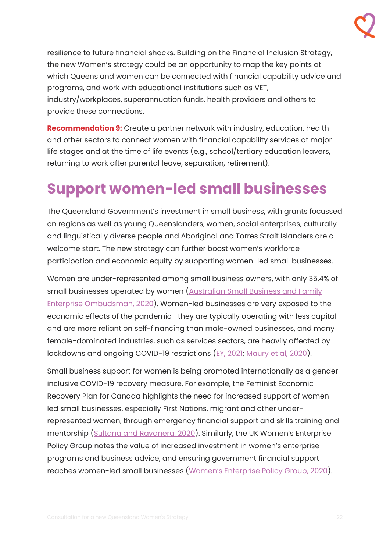

resilience to future financial shocks. Building on the Financial Inclusion Strategy, the new Women's strategy could be an opportunity to map the key points at which Queensland women can be connected with financial capability advice and programs, and work with educational institutions such as VET, industry/workplaces, superannuation funds, health providers and others to provide these connections.

**Recommendation 9:** Create a partner network with industry, education, health and other sectors to connect women with financial capability services at major life stages and at the time of life events (e.g., school/tertiary education leavers, returning to work after parental leave, separation, retirement).

# <span id="page-21-0"></span>**Support women-led small businesses**

The Queensland Government's investment in small business, with grants focussed on regions as well as young Queenslanders, women, social enterprises, culturally and linguistically diverse people and Aboriginal and Torres Strait Islanders are a welcome start. The new strategy can further boost women's workforce participation and economic equity by supporting women-led small businesses.

Women are under-represented among small business owners, with only 35.4% of small businesses operated by women (Australian Small Business and Family [Enterprise Ombudsman, 2020\)](https://www.asbfeo.gov.au/sites/default/files/ASBFEO%20Small%20Business%20Counts%20Dec%202020%20v2.pdf). Women-led businesses are very exposed to the economic effects of the pandemic—they are typically operating with less capital and are more reliant on self-financing than male-owned businesses, and many female-dominated industries, such as services sectors, are heavily affected by lockdowns and ongoing COVID-19 restrictions [\(EY, 2021;](https://assets.ey.com/content/dam/ey-sites/ey-com/en_au/pdfs/ey-au-advancing-women-owned-businesses-covid-19.pdf) [Maury et al, 2020\)](https://goodshep.org.au/wp-content/uploads/2020/12/GSH031-COVID-19-Report-DP5.pdf).

Small business support for women is being promoted internationally as a genderinclusive COVID-19 recovery measure. For example, the Feminist Economic Recovery Plan for Canada highlights the need for increased support of womenled small businesses, especially First Nations, migrant and other underrepresented women, through emergency financial support and skills training and mentorship [\(Sultana and Ravanera, 2020](https://static1.squarespace.com/static/5f0cd2090f50a31a91b37ff7/t/5f205a15b1b7191d12282bf5/1595955746613/Feminist+Economy+Recovery+Plan+for+Canada.pdf)). Similarly, the UK Women's Enterprise Policy Group notes the value of increased investment in women's enterprise programs and business advice, and ensuring government financial support reaches women-led small businesses ([Women's Enterprise Policy Group, 2020](https://www.thewomensorganisation.org.uk/wp-content/uploads/2020/09/WEPG-Framework-of-Policy-Actions.pdf)).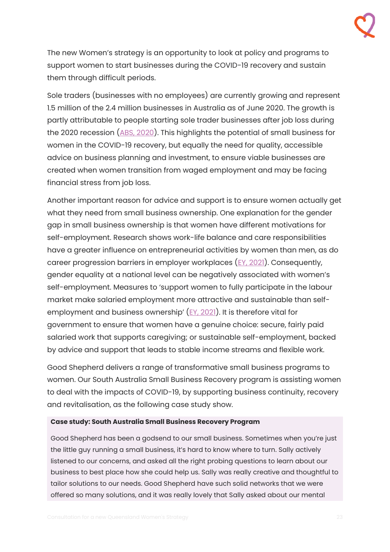The new Women's strategy is an opportunity to look at policy and programs to support women to start businesses during the COVID-19 recovery and sustain them through difficult periods.

Sole traders (businesses with no employees) are currently growing and represent 1.5 million of the 2.4 million businesses in Australia as of June 2020. The growth is partly attributable to people starting sole trader businesses after job loss during the 2020 recession [\(ABS, 2020\)](https://www.abs.gov.au/articles/strong-employment-growth-non-employees). This highlights the potential of small business for women in the COVID-19 recovery, but equally the need for quality, accessible advice on business planning and investment, to ensure viable businesses are created when women transition from waged employment and may be facing financial stress from job loss.

Another important reason for advice and support is to ensure women actually get what they need from small business ownership. One explanation for the gender gap in small business ownership is that women have different motivations for self-employment. Research shows work-life balance and care responsibilities have a greater influence on entrepreneurial activities by women than men, as do career progression barriers in employer workplaces [\(EY, 2021\)](https://assets.ey.com/content/dam/ey-sites/ey-com/en_au/pdfs/ey-au-advancing-women-owned-businesses-covid-19.pdf). Consequently, gender equality at a national level can be negatively associated with women's self-employment. Measures to 'support women to fully participate in the labour market make salaried employment more attractive and sustainable than selfemployment and business ownership' ([EY, 2021\)](https://assets.ey.com/content/dam/ey-sites/ey-com/en_au/pdfs/ey-au-advancing-women-owned-businesses-covid-19.pdf). It is therefore vital for government to ensure that women have a genuine choice: secure, fairly paid salaried work that supports caregiving; or sustainable self-employment, backed by advice and support that leads to stable income streams and flexible work.

Good Shepherd delivers a range of transformative small business programs to women. Our South Australia Small Business Recovery program is assisting women to deal with the impacts of COVID-19, by supporting business continuity, recovery and revitalisation, as the following case study show.

### **Case study: South Australia Small Business Recovery Program**

Good Shepherd has been a godsend to our small business. Sometimes when you're just the little guy running a small business, it's hard to know where to turn. Sally actively listened to our concerns, and asked all the right probing questions to learn about our business to best place how she could help us. Sally was really creative and thoughtful to tailor solutions to our needs. Good Shepherd have such solid networks that we were offered so many solutions, and it was really lovely that Sally asked about our mental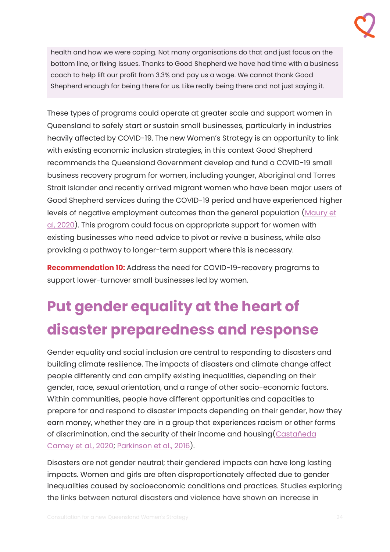

health and how we were coping. Not many organisations do that and just focus on the bottom line, or fixing issues. Thanks to Good Shepherd we have had time with a business coach to help lift our profit from 3.3% and pay us a wage. We cannot thank Good Shepherd enough for being there for us. Like really being there and not just saying it.

These types of programs could operate at greater scale and support women in Queensland to safely start or sustain small businesses, particularly in industries heavily affected by COVID-19. The new Women's Strategy is an opportunity to link with existing economic inclusion strategies, in this context Good Shepherd recommends the Queensland Government develop and fund a COVID-19 small business recovery program for women, including younger, Aboriginal and Torres Strait Islander and recently arrived migrant women who have been major users of Good Shepherd services during the COVID-19 period and have experienced higher levels of negative employment outcomes than the general population (Maury et [al, 2020\)](https://goodshep.org.au/wp-content/uploads/2020/12/GSH031-COVID-19-Report-DP5.pdf). This program could focus on appropriate support for women with existing businesses who need advice to pivot or revive a business, while also providing a pathway to longer-term support where this is necessary.

**Recommendation 10:** Address the need for COVID-19-recovery programs to support lower-turnover small businesses led by women.

# <span id="page-23-0"></span>**Put gender equality at the heart of disaster preparedness and response**

Gender equality and social inclusion are central to responding to disasters and building climate resilience. The impacts of disasters and climate change affect people differently and can amplify existing inequalities, depending on their gender, race, sexual orientation, and a range of other socio-economic factors. Within communities, people have different opportunities and capacities to prepare for and respond to disaster impacts depending on their gender, how they earn money, whether they are in a group that experiences racism or other forms of discrimination, and the security of their income and housing[\(Castañeda](https://portals.iucn.org/library/sites/library/files/documents/2020-002-En.pdf)  [Camey et al., 2020;](https://portals.iucn.org/library/sites/library/files/documents/2020-002-En.pdf) [Parkinson et al., 2016\)](http://www.powertopersuade.org.au/blog/women-at-risk-during-disasters-due-to-poor-understanding-of-gendered-differences/3/10/2016?rq=disaster).

Disasters are not gender neutral; their gendered impacts can have long lasting impacts. Women and girls are often disproportionately affected due to gender inequalities caused by socioeconomic conditions and practices. Studies exploring the links between natural disasters and violence have shown an increase in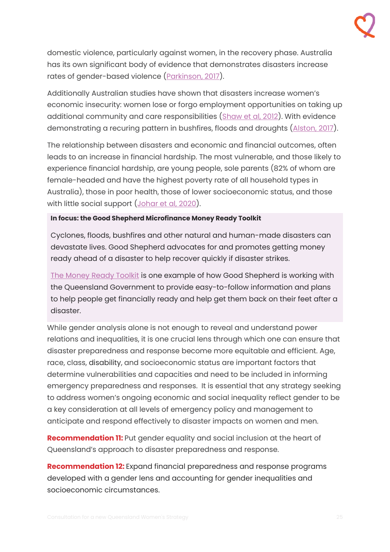domestic violence, particularly against women, in the recovery phase. Australia has its own significant body of evidence that demonstrates disasters increase rates of gender-based violence [\(Parkinson, 2017\)](https://journals.sagepub.com/doi/abs/10.1177/0886260517696876).

Additionally Australian studies have shown that disasters increase women's economic insecurity: women lose or forgo employment opportunities on taking up additional community and care responsibilities [\(Shaw et al, 2012\)](https://www.security4women.org.au/boosting-womens-economic-security/disaster-roundtable-report/voices-from-the-flood-plains/). With evidence demonstrating a recuring pattern in bushfires, floods and droughts [\(Alston, 2017\)](https://www.taylorfrancis.com/chapters/edit/10.4324/9781315407906-9/gendered-outcomes-post-disaster-sites-margaret-alston?context=ubx&refId=f543c745-a819-4ccf-8f1a-ddbb1099b3af).

The relationship between disasters and economic and financial outcomes, often leads to an increase in financial hardship. The most vulnerable, and those likely to experience financial hardship, are young people, sole parents (82% of whom are female-headed and have the highest poverty rate of all household types in Australia), those in poor health, those of lower socioeconomic status, and those with little social support (Johar [et al, 2020\)](https://ssrn.com/abstract=3679022).

### **In focus: the Good Shepherd Microfinance Money Ready Toolkit**

Cyclones, floods, bushfires and other natural and human-made disasters can devastate lives. Good Shepherd advocates for and promotes getting money ready ahead of a disaster to help recover quickly if disaster strikes.

[The Money Ready Toolkit](https://goodshep.org.au/wp-content/uploads/2020/12/Money-Ready-Tool-Kit.pdf) is one example of how Good Shepherd is working with the Queensland Government to provide easy-to-follow information and plans to help people get financially ready and help get them back on their feet after a disaster.

While gender analysis alone is not enough to reveal and understand power relations and inequalities, it is one crucial lens through which one can ensure that disaster preparedness and response become more equitable and efficient. Age, race, class, disability, and socioeconomic status are important factors that determine vulnerabilities and capacities and need to be included in informing emergency preparedness and responses. It is essential that any strategy seeking to address women's ongoing economic and social inequality reflect gender to be a key consideration at all levels of emergency policy and management to anticipate and respond effectively to disaster impacts on women and men.

**Recommendation 11:** Put gender equality and social inclusion at the heart of Queensland's approach to disaster preparedness and response.

**Recommendation 12:** Expand financial preparedness and response programs developed with a gender lens and accounting for gender inequalities and socioeconomic circumstances.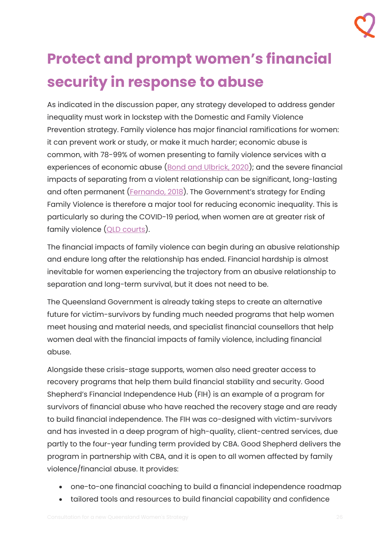

# <span id="page-25-0"></span>**Protect and prompt women's financial security in response to abuse**

As indicated in the discussion paper, any strategy developed to address gender inequality must work in lockstep with the Domestic and Family Violence Prevention strategy. Family violence has major financial ramifications for women: it can prevent work or study, or make it much harder; economic abuse is common, with 78-99% of women presenting to family violence services with a experiences of economic abuse [\(Bond and Ulbrick, 2020\)](https://earg.org.au/wp-content/uploads/Responding-to-Financial-Abuse-Report-2020_Digital.pdf); and the severe financial impacts of separating from a violent relationship can be significant, long-lasting and often permanent [\(Fernando, 2018](https://www.wire.org.au/wp-content/uploads/2018/12/WhenIsTheRightTimeToTalkAboutMoney.pdf)). The Government's strategy for Ending Family Violence is therefore a major tool for reducing economic inequality. This is particularly so during the COVID-19 period, when women are at greater risk of family violence [\(QLD courts\)](https://www.courts.qld.gov.au/court-users/researchers-and-public/stats).

The financial impacts of family violence can begin during an abusive relationship and endure long after the relationship has ended. Financial hardship is almost inevitable for women experiencing the trajectory from an abusive relationship to separation and long-term survival, but it does not need to be.

The Queensland Government is already taking steps to create an alternative future for victim-survivors by funding much needed programs that help women meet housing and material needs, and specialist financial counsellors that help women deal with the financial impacts of family violence, including financial abuse.

Alongside these crisis-stage supports, women also need greater access to recovery programs that help them build financial stability and security. Good Shepherd's Financial Independence Hub (FIH) is an example of a program for survivors of financial abuse who have reached the recovery stage and are ready to build financial independence. The FIH was co-designed with victim-survivors and has invested in a deep program of high-quality, client-centred services, due partly to the four-year funding term provided by CBA. Good Shepherd delivers the program in partnership with CBA, and it is open to all women affected by family violence/financial abuse. It provides:

- one-to-one financial coaching to build a financial independence roadmap
- tailored tools and resources to build financial capability and confidence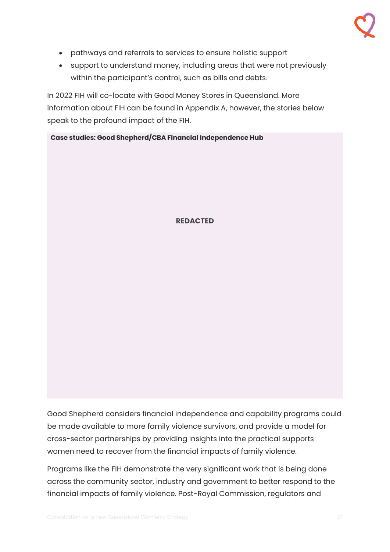- pathways and referrals to services to ensure holistic support
- support to understand money, including areas that were not previously within the participant's control, such as bills and debts.

In 2022 FIH will co-locate with Good Money Stores in Queensland. More information about FIH can be found in Appendix A, however, the stories below speak to the profound impact of the FIH.

**Case studies: Good Shepherd/CBA Financial Independence Hub**

### **REDACTED**

Good Shepherd considers financial independence and capability programs could be made available to more family violence survivors, and provide a model for cross-sector partnerships by providing insights into the practical supports women need to recover from the financial impacts of family violence.

Programs like the FIH demonstrate the very significant work that is being done across the community sector, industry and government to better respond to the financial impacts of family violence. Post-Royal Commission, regulators and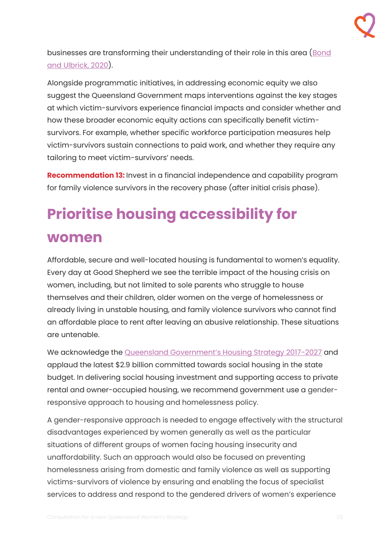businesses are transforming their understanding of their role in this area (Bond [and Ulbrick, 2020\)](https://earg.org.au/wp-content/uploads/Responding-to-Financial-Abuse-Report-2020_Digital.pdf).

Alongside programmatic initiatives, in addressing economic equity we also suggest the Queensland Government maps interventions against the key stages at which victim-survivors experience financial impacts and consider whether and how these broader economic equity actions can specifically benefit victimsurvivors. For example, whether specific workforce participation measures help victim-survivors sustain connections to paid work, and whether they require any tailoring to meet victim-survivors' needs.

**Recommendation 13:** Invest in a financial independence and capability program for family violence survivors in the recovery phase (after initial crisis phase).

# <span id="page-27-0"></span>**Prioritise housing accessibility for women**

Affordable, secure and well-located housing is fundamental to women's equality. Every day at Good Shepherd we see the terrible impact of the housing crisis on women, including, but not limited to sole parents who struggle to house themselves and their children, older women on the verge of homelessness or already living in unstable housing, and family violence survivors who cannot find an affordable place to rent after leaving an abusive relationship. These situations are untenable.

We acknowledge the **[Queensland Government's Housing Strategy 2017](https://www.chde.qld.gov.au/about/strategy/housing/about)-2027** and applaud the latest \$2.9 billion committed towards social housing in the state budget. In delivering social housing investment and supporting access to private rental and owner-occupied housing, we recommend government use a genderresponsive approach to housing and homelessness policy.

A gender-responsive approach is needed to engage effectively with the structural disadvantages experienced by women generally as well as the particular situations of different groups of women facing housing insecurity and unaffordability. Such an approach would also be focused on preventing homelessness arising from domestic and family violence as well as supporting victims-survivors of violence by ensuring and enabling the focus of specialist services to address and respond to the gendered drivers of women's experience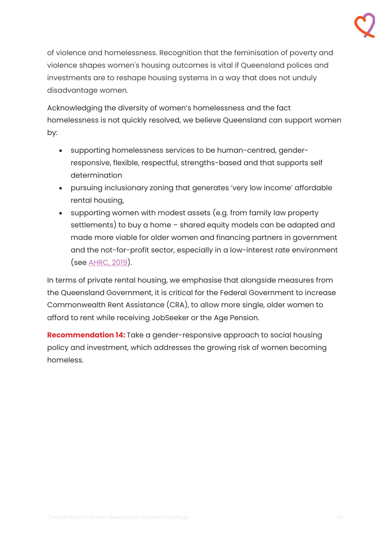

of violence and homelessness. Recognition that the feminisation of poverty and violence shapes women's housing outcomes is vital if Queensland polices and investments are to reshape housing systems in a way that does not unduly disadvantage women.

Acknowledging the diversity of women's homelessness and the fact homelessness is not quickly resolved, we believe Queensland can support women by:

- supporting homelessness services to be human-centred, genderresponsive, flexible, respectful, strengths-based and that supports self determination
- pursuing inclusionary zoning that generates 'very low income' affordable rental housing,
- supporting women with modest assets (e.g. from family law property settlements) to buy a home – shared equity models can be adapted and made more viable for older women and financing partners in government and the not-for-profit sector, especially in a low-interest rate environment (see [AHRC, 2019\)](https://humanrights.gov.au/our-work/age-discrimination/publications/older-womens-risk-homelessness-background-paper-2019).

In terms of private rental housing, we emphasise that alongside measures from the Queensland Government, it is critical for the Federal Government to increase Commonwealth Rent Assistance (CRA), to allow more single, older women to afford to rent while receiving JobSeeker or the Age Pension.

**Recommendation 14:** Take a gender-responsive approach to social housing policy and investment, which addresses the growing risk of women becoming homeless.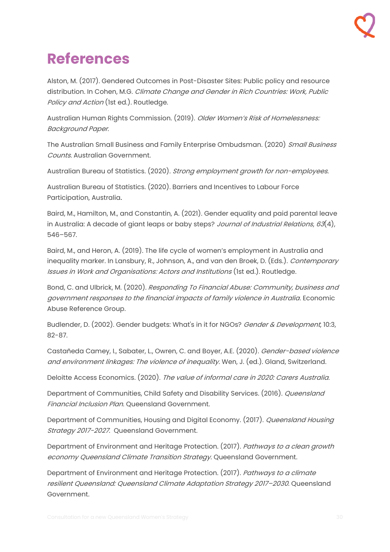# <span id="page-29-0"></span>**References**

Alston, M. (2017). Gendered Outcomes in Post-Disaster Sites: Public policy and resource distribution. In Cohen, M.G. Climate Change and Gender in Rich Countries: Work, Public Policy and Action (1st ed.). Routledge.

Australian Human Rights Commission. (2019). Older Women's Risk of Homelessness: Background Paper.

The Australian Small Business and Family Enterprise Ombudsman. (2020) Small Business Counts. Australian Government.

Australian Bureau of Statistics. (2020). Strong employment growth for non-employees.

Australian Bureau of Statistics. (2020). Barriers and Incentives to Labour Force Participation, Australia.

Baird, M., Hamilton, M., and Constantin, A. (2021). Gender equality and paid parental leave in Australia: A decade of giant leaps or baby steps? Journal of Industrial Relations, 63(4), 546–567.

Baird, M., and Heron, A. (2019). The life cycle of women's employment in Australia and inequality marker. In Lansbury, R., Johnson, A., and van den Broek, D. (Eds.). *Contemporary* Issues in Work and Organisations: Actors and Institutions (1st ed.). Routledge.

Bond, C. and Ulbrick, M. (2020). Responding To Financial Abuse: Community, business and government responses to the financial impacts of family violence in Australia. Economic Abuse Reference Group.

Budlender, D. (2002). Gender budgets: What's in it for NGOs? Gender & Development, 10:3, 82-87.

Castañeda Camey, I., Sabater, L., Owren, C. and Boyer, A.E. (2020). Gender-based violence and environment linkages: The violence of inequality. Wen, J. (ed.). Gland, Switzerland.

Deloitte Access Economics. (2020). The value of informal care in 2020: Carers Australia.

Department of Communities, Child Safety and Disability Services. (2016). Queensland Financial Inclusion Plan. Queensland Government.

Department of Communities, Housing and Digital Economy. (2017). Queensland Housing Strategy 2017-2027. Queensland Government.

Department of Environment and Heritage Protection. (2017). Pathways to a clean growth economy Queensland Climate Transition Strategy. Queensland Government.

Department of Environment and Heritage Protection. (2017). Pathways to a climate resilient Queensland: Queensland Climate Adaptation Strategy 2017–2030. Queensland Government.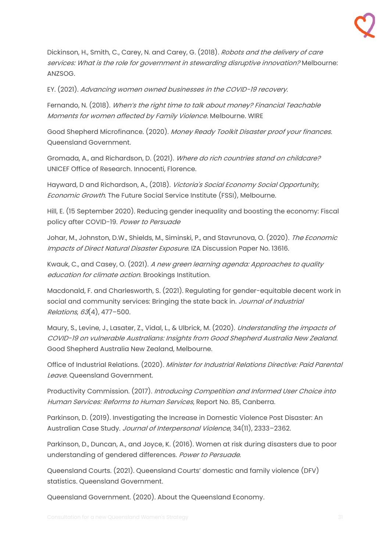Dickinson, H., Smith, C., Carey, N. and Carey, G. (2018). Robots and the delivery of care services: What is the role for government in stewarding disruptive innovation? Melbourne: ANZSOG.

EY. (2021). Advancing women owned businesses in the COVID-19 recovery.

Fernando, N. (2018). When's the right time to talk about money? Financial Teachable Moments for women affected by Family Violence. Melbourne. WIRE

Good Shepherd Microfinance. (2020). Money Ready Toolkit Disaster proof your finances. Queensland Government.

Gromada, A., and Richardson, D. (2021). Where do rich countries stand on childcare? UNICEF Office of Research. Innocenti, Florence.

Hayward, D and Richardson, A., (2018). Victoria's Social Economy Social Opportunity, Economic Growth. The Future Social Service Institute (FSSI), Melbourne.

Hill, E. (15 September 2020). Reducing gender inequality and boosting the economy: Fiscal policy after COVID-19. Power to Persuade

Johar, M., Johnston, D.W., Shields, M., Siminski, P., and Stavrunova, O. (2020). The Economic Impacts of Direct Natural Disaster Exposure. IZA Discussion Paper No. 13616.

Kwauk, C., and Casey, O. (2021). A new green learning agenda: Approaches to quality education for climate action. Brookings Institution.

Macdonald, F. and Charlesworth, S. (2021). Regulating for gender-equitable decent work in social and community services: Bringing the state back in. Journal of Industrial Relations, 63(4), 477–500.

Maury, S., Levine, J., Lasater, Z., Vidal, L., & Ulbrick, M. (2020). Understanding the impacts of COVID-19 on vulnerable Australians: Insights from Good Shepherd Australia New Zealand. Good Shepherd Australia New Zealand, Melbourne.

Office of Industrial Relations. (2020). Minister for Industrial Relations Directive: Paid Parental Leave. Queensland Government.

Productivity Commission. (2017). Introducing Competition and Informed User Choice into Human Services: Reforms to Human Services, Report No. 85, Canberra.

Parkinson, D. (2019). Investigating the Increase in Domestic Violence Post Disaster: An Australian Case Study. Journal of Interpersonal Violence, 34(11), 2333–2362.

Parkinson, D., Duncan, A., and Joyce, K. (2016). Women at risk during disasters due to poor understanding of gendered differences. Power to Persuade.

Queensland Courts. (2021). Queensland Courts' domestic and family violence (DFV) statistics. Queensland Government.

Queensland Government. (2020). About the Queensland Economy.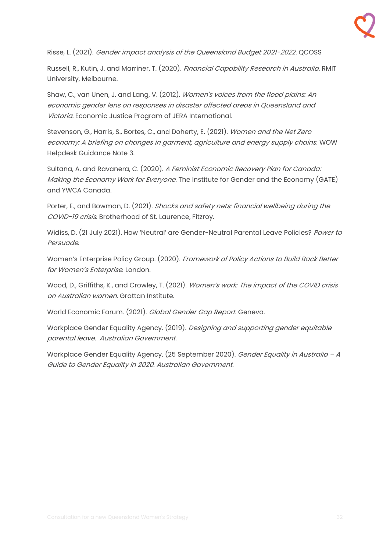

Risse, L. (2021). Gender impact analysis of the Queensland Budget 2021-2022. QCOSS

Russell, R., Kutin, J. and Marriner, T. (2020). Financial Capability Research in Australia. RMIT University, Melbourne.

Shaw, C., van Unen, J. and Lang, V. (2012). Women's voices from the flood plains: An economic gender lens on responses in disaster affected areas in Queensland and Victoria. Economic Justice Program of JERA International.

Stevenson, G., Harris, S., Bortes, C., and Doherty, E. (2021). Women and the Net Zero economy: A briefing on changes in garment, agriculture and energy supply chains. WOW Helpdesk Guidance Note 3.

Sultana, A. and Ravanera, C. (2020). A Feminist Economic Recovery Plan for Canada: Making the Economy Work for Everyone. The Institute for Gender and the Economy (GATE) and YWCA Canada.

Porter, E., and Bowman, D. (2021). Shocks and safety nets: financial wellbeing during the COVID-19 crisis. Brotherhood of St. Laurence, Fitzroy.

Widiss, D. (21 July 2021). How 'Neutral' are Gender-Neutral Parental Leave Policies? Power to Persuade.

Women's Enterprise Policy Group. (2020). Framework of Policy Actions to Build Back Better for Women's Enterprise, London.

Wood, D., Griffiths, K., and Crowley, T. (2021). Women's work: The impact of the COVID crisis on Australian women. Grattan Institute.

World Economic Forum. (2021). Global Gender Gap Report. Geneva.

Workplace Gender Equality Agency. (2019). Designing and supporting gender equitable parental leave. Australian Government.

Workplace Gender Equality Agency. (25 September 2020). Gender Equality in Australia – A Guide to Gender Equality in 2020. Australian Government.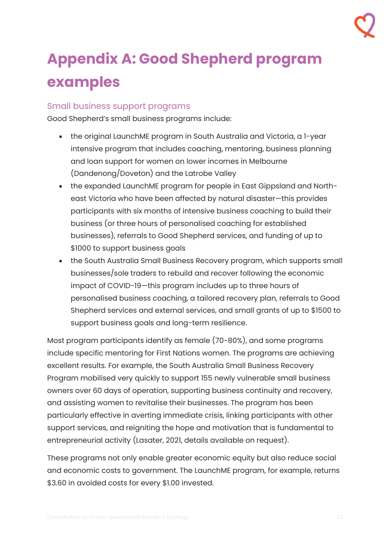# <span id="page-32-0"></span>**Appendix A: Good Shepherd program examples**

## <span id="page-32-1"></span>Small business support programs

Good Shepherd's small business programs include:

- the original LaunchME program in South Australia and Victoria, a 1-year intensive program that includes coaching, mentoring, business planning and loan support for women on lower incomes in Melbourne (Dandenong/Doveton) and the Latrobe Valley
- the expanded LaunchME program for people in East Gippsland and Northeast Victoria who have been affected by natural disaster—this provides participants with six months of intensive business coaching to build their business (or three hours of personalised coaching for established businesses), referrals to Good Shepherd services, and funding of up to \$1000 to support business goals
- the South Australia Small Business Recovery program, which supports small businesses/sole traders to rebuild and recover following the economic impact of COVID-19—this program includes up to three hours of personalised business coaching, a tailored recovery plan, referrals to Good Shepherd services and external services, and small grants of up to \$1500 to support business goals and long-term resilience.

Most program participants identify as female (70-80%), and some programs include specific mentoring for First Nations women. The programs are achieving excellent results. For example, the South Australia Small Business Recovery Program mobilised very quickly to support 155 newly vulnerable small business owners over 60 days of operation, supporting business continuity and recovery, and assisting women to revitalise their businesses. The program has been particularly effective in averting immediate crisis, linking participants with other support services, and reigniting the hope and motivation that is fundamental to entrepreneurial activity (Lasater, 2021, details available on request).

These programs not only enable greater economic equity but also reduce social and economic costs to government. The LaunchME program, for example, returns \$3.60 in avoided costs for every \$1.00 invested.